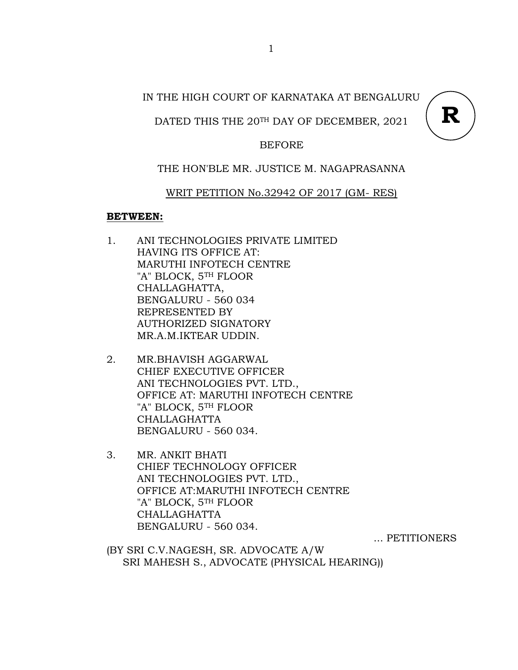## IN THE HIGH COURT OF KARNATAKA AT BENGALURU

## DATED THIS THE 20TH DAY OF DECEMBER, 2021



### BEFORE

## THE HON'BLE MR. JUSTICE M. NAGAPRASANNA

### WRIT PETITION No.32942 OF 2017 (GM- RES)

### **BETWEEN:**

- 1. ANI TECHNOLOGIES PRIVATE LIMITED HAVING ITS OFFICE AT: MARUTHI INFOTECH CENTRE "A" BLOCK, 5TH FLOOR CHALLAGHATTA, BENGALURU - 560 034 REPRESENTED BY AUTHORIZED SIGNATORY MR.A.M.IKTEAR UDDIN.
- 2. MR.BHAVISH AGGARWAL CHIEF EXECUTIVE OFFICER ANI TECHNOLOGIES PVT. LTD., OFFICE AT: MARUTHI INFOTECH CENTRE "A" BLOCK, 5TH FLOOR CHALLAGHATTA BENGALURU - 560 034.
- 3. MR. ANKIT BHATI CHIEF TECHNOLOGY OFFICER ANI TECHNOLOGIES PVT. LTD., OFFICE AT:MARUTHI INFOTECH CENTRE "A" BLOCK, 5TH FLOOR CHALLAGHATTA BENGALURU - 560 034.

... PETITIONERS

(BY SRI C.V.NAGESH, SR. ADVOCATE A/W SRI MAHESH S., ADVOCATE (PHYSICAL HEARING))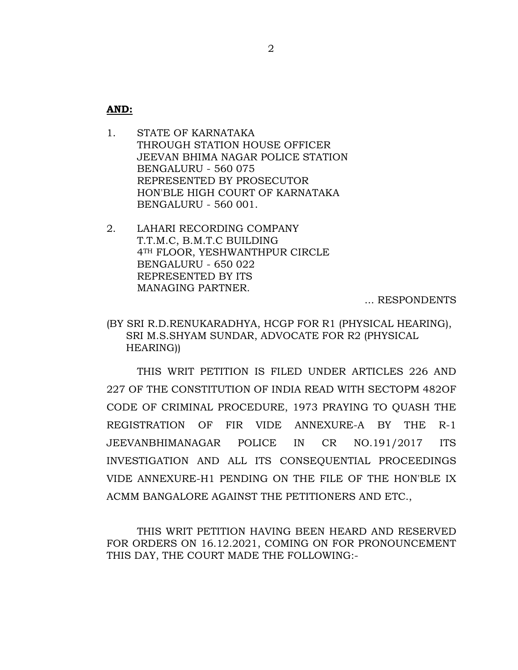**AND:**

- 1. STATE OF KARNATAKA THROUGH STATION HOUSE OFFICER JEEVAN BHIMA NAGAR POLICE STATION BENGALURU - 560 075 REPRESENTED BY PROSECUTOR HON'BLE HIGH COURT OF KARNATAKA BENGALURU - 560 001.
- 2. LAHARI RECORDING COMPANY T.T.M.C, B.M.T.C BUILDING 4TH FLOOR, YESHWANTHPUR CIRCLE BENGALURU - 650 022 REPRESENTED BY ITS MANAGING PARTNER.

... RESPONDENTS

(BY SRI R.D.RENUKARADHYA, HCGP FOR R1 (PHYSICAL HEARING), SRI M.S.SHYAM SUNDAR, ADVOCATE FOR R2 (PHYSICAL HEARING))

THIS WRIT PETITION IS FILED UNDER ARTICLES 226 AND 227 OF THE CONSTITUTION OF INDIA READ WITH SECTOPM 482OF CODE OF CRIMINAL PROCEDURE, 1973 PRAYING TO QUASH THE REGISTRATION OF FIR VIDE ANNEXURE-A BY THE R-1 JEEVANBHIMANAGAR POLICE IN CR NO.191/2017 ITS INVESTIGATION AND ALL ITS CONSEQUENTIAL PROCEEDINGS VIDE ANNEXURE-H1 PENDING ON THE FILE OF THE HON'BLE IX ACMM BANGALORE AGAINST THE PETITIONERS AND ETC.,

THIS WRIT PETITION HAVING BEEN HEARD AND RESERVED FOR ORDERS ON 16.12.2021, COMING ON FOR PRONOUNCEMENT THIS DAY, THE COURT MADE THE FOLLOWING:-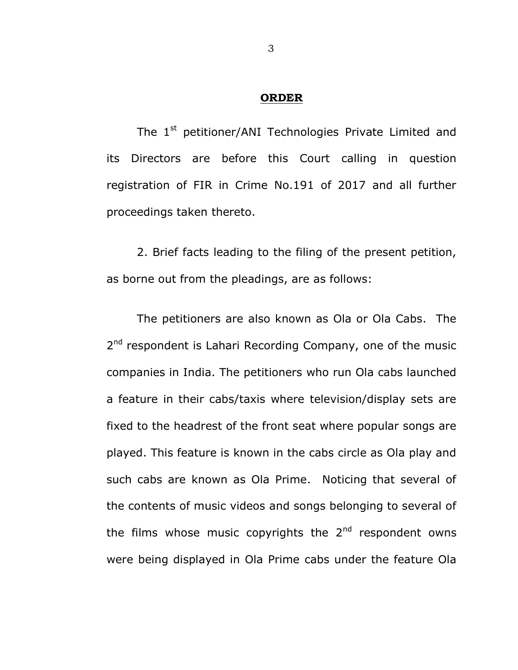#### **ORDER**

The 1<sup>st</sup> petitioner/ANI Technologies Private Limited and its Directors are before this Court calling in question registration of FIR in Crime No.191 of 2017 and all further proceedings taken thereto.

 2. Brief facts leading to the filing of the present petition, as borne out from the pleadings, are as follows:

 The petitioners are also known as Ola or Ola Cabs. The 2<sup>nd</sup> respondent is Lahari Recording Company, one of the music companies in India. The petitioners who run Ola cabs launched a feature in their cabs/taxis where television/display sets are fixed to the headrest of the front seat where popular songs are played. This feature is known in the cabs circle as Ola play and such cabs are known as Ola Prime. Noticing that several of the contents of music videos and songs belonging to several of the films whose music copyrights the  $2<sup>nd</sup>$  respondent owns were being displayed in Ola Prime cabs under the feature Ola

3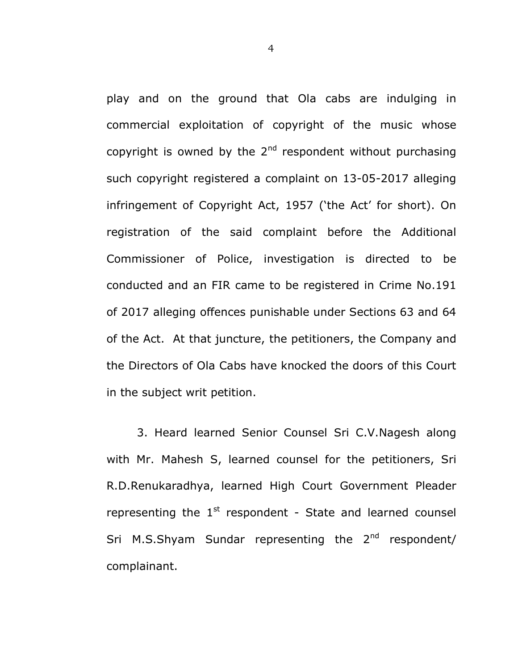play and on the ground that Ola cabs are indulging in commercial exploitation of copyright of the music whose copyright is owned by the  $2^{nd}$  respondent without purchasing such copyright registered a complaint on 13-05-2017 alleging infringement of Copyright Act, 1957 ('the Act' for short). On registration of the said complaint before the Additional Commissioner of Police, investigation is directed to be conducted and an FIR came to be registered in Crime No.191 of 2017 alleging offences punishable under Sections 63 and 64 of the Act. At that juncture, the petitioners, the Company and the Directors of Ola Cabs have knocked the doors of this Court in the subject writ petition.

 3. Heard learned Senior Counsel Sri C.V.Nagesh along with Mr. Mahesh S, learned counsel for the petitioners, Sri R.D.Renukaradhya, learned High Court Government Pleader representing the  $1<sup>st</sup>$  respondent - State and learned counsel Sri M.S.Shyam Sundar representing the  $2^{nd}$  respondent/ complainant.

4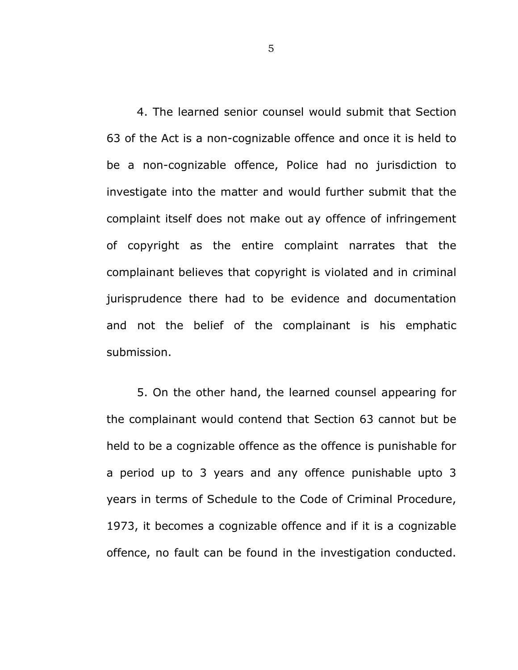4. The learned senior counsel would submit that Section 63 of the Act is a non-cognizable offence and once it is held to be a non-cognizable offence, Police had no jurisdiction to investigate into the matter and would further submit that the complaint itself does not make out ay offence of infringement of copyright as the entire complaint narrates that the complainant believes that copyright is violated and in criminal jurisprudence there had to be evidence and documentation and not the belief of the complainant is his emphatic submission.

 5. On the other hand, the learned counsel appearing for the complainant would contend that Section 63 cannot but be held to be a cognizable offence as the offence is punishable for a period up to 3 years and any offence punishable upto 3 years in terms of Schedule to the Code of Criminal Procedure, 1973, it becomes a cognizable offence and if it is a cognizable offence, no fault can be found in the investigation conducted.

5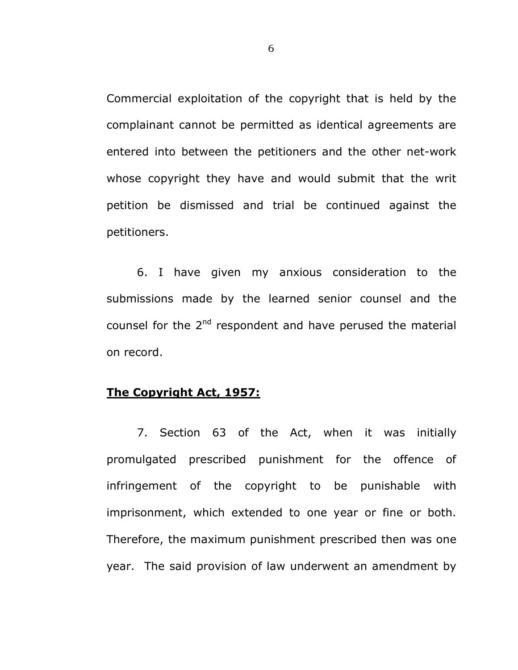Commercial exploitation of the copyright that is held by the complainant cannot be permitted as identical agreements are entered into between the petitioners and the other net-work whose copyright they have and would submit that the writ petition be dismissed and trial be continued against the petitioners.

 6. I have given my anxious consideration to the submissions made by the learned senior counsel and the counsel for the 2<sup>nd</sup> respondent and have perused the material on record.

# **The Copyright Act, 1957:**

7. Section 63 of the Act, when it was initially promulgated prescribed punishment for the offence of infringement of the copyright to be punishable with imprisonment, which extended to one year or fine or both. Therefore, the maximum punishment prescribed then was one year. The said provision of law underwent an amendment by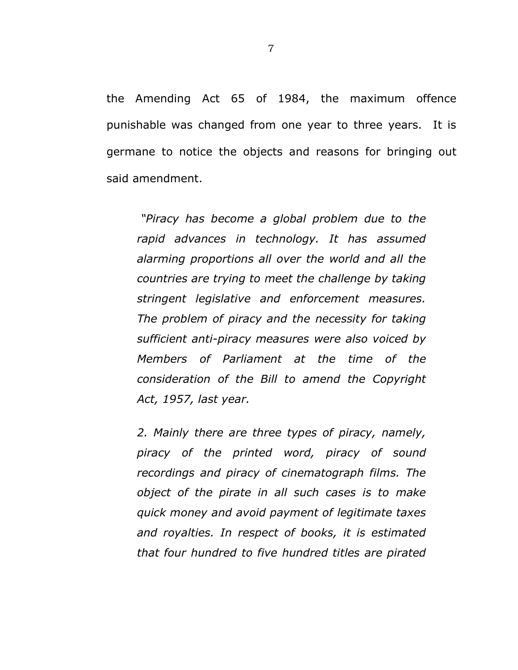the Amending Act 65 of 1984, the maximum offence punishable was changed from one year to three years. It is germane to notice the objects and reasons for bringing out said amendment.

 *"Piracy has become a global problem due to the rapid advances in technology. It has assumed alarming proportions all over the world and all the countries are trying to meet the challenge by taking stringent legislative and enforcement measures. The problem of piracy and the necessity for taking sufficient anti-piracy measures were also voiced by Members of Parliament at the time of the consideration of the Bill to amend the Copyright Act, 1957, last year.* 

*2. Mainly there are three types of piracy, namely, piracy of the printed word, piracy of sound recordings and piracy of cinematograph films. The object of the pirate in all such cases is to make quick money and avoid payment of legitimate taxes and royalties. In respect of books, it is estimated that four hundred to five hundred titles are pirated*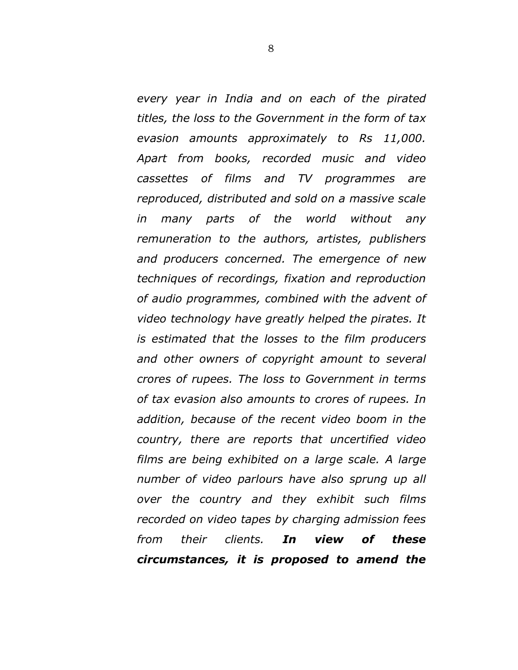*every year in India and on each of the pirated titles, the loss to the Government in the form of tax evasion amounts approximately to Rs 11,000. Apart from books, recorded music and video cassettes of films and TV programmes are reproduced, distributed and sold on a massive scale in many parts of the world without any remuneration to the authors, artistes, publishers and producers concerned. The emergence of new techniques of recordings, fixation and reproduction of audio programmes, combined with the advent of video technology have greatly helped the pirates. It is estimated that the losses to the film producers and other owners of copyright amount to several crores of rupees. The loss to Government in terms of tax evasion also amounts to crores of rupees. In addition, because of the recent video boom in the country, there are reports that uncertified video films are being exhibited on a large scale. A large number of video parlours have also sprung up all over the country and they exhibit such films recorded on video tapes by charging admission fees from their clients. In view of these circumstances, it is proposed to amend the*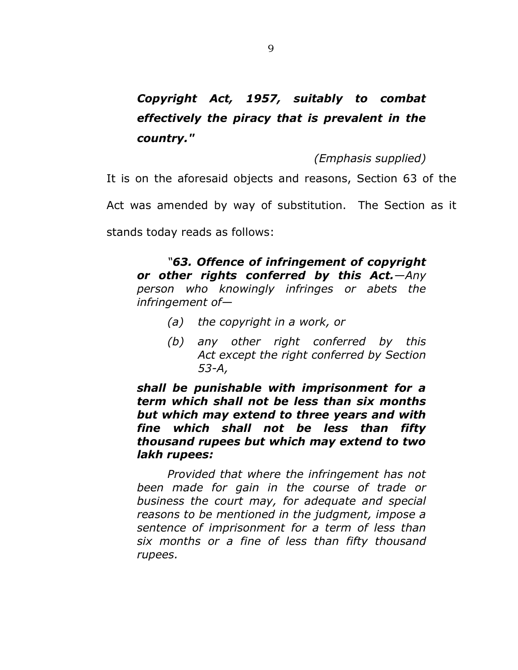# *Copyright Act, 1957, suitably to combat effectively the piracy that is prevalent in the country."*

*(Emphasis supplied)*

It is on the aforesaid objects and reasons, Section 63 of the

Act was amended by way of substitution. The Section as it

stands today reads as follows:

*"63. Offence of infringement of copyright or other rights conferred by this Act.—Any person who knowingly infringes or abets the infringement of—* 

- *(a) the copyright in a work, or*
- *(b) any other right conferred by this Act except the right conferred by Section 53-A,*

*shall be punishable with imprisonment for a term which shall not be less than six months but which may extend to three years and with fine which shall not be less than fifty thousand rupees but which may extend to two lakh rupees:* 

*Provided that where the infringement has not been made for gain in the course of trade or business the court may, for adequate and special reasons to be mentioned in the judgment, impose a sentence of imprisonment for a term of less than six months or a fine of less than fifty thousand rupees.*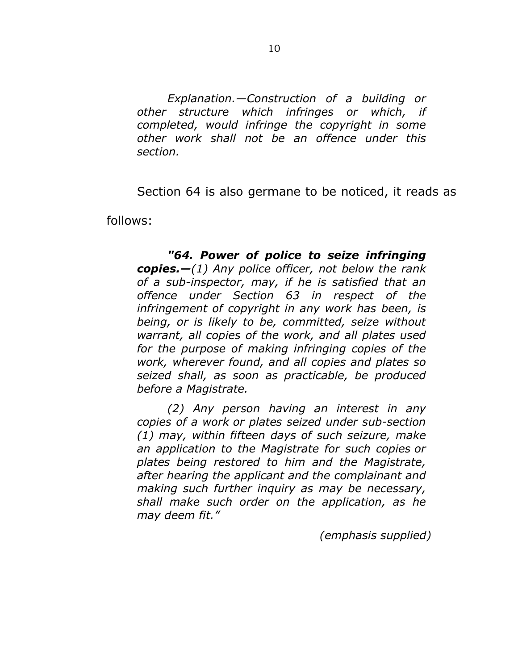*Explanation.—Construction of a building or other structure which infringes or which, if completed, would infringe the copyright in some other work shall not be an offence under this section.* 

Section 64 is also germane to be noticed, it reads as

follows:

*"64. Power of police to seize infringing copies.—(1) Any police officer, not below the rank of a sub-inspector, may, if he is satisfied that an offence under Section 63 in respect of the infringement of copyright in any work has been, is being, or is likely to be, committed, seize without warrant, all copies of the work, and all plates used for the purpose of making infringing copies of the work, wherever found, and all copies and plates so seized shall, as soon as practicable, be produced before a Magistrate.* 

*(2) Any person having an interest in any copies of a work or plates seized under sub-section (1) may, within fifteen days of such seizure, make an application to the Magistrate for such copies or plates being restored to him and the Magistrate, after hearing the applicant and the complainant and making such further inquiry as may be necessary, shall make such order on the application, as he may deem fit."* 

 *(emphasis supplied)*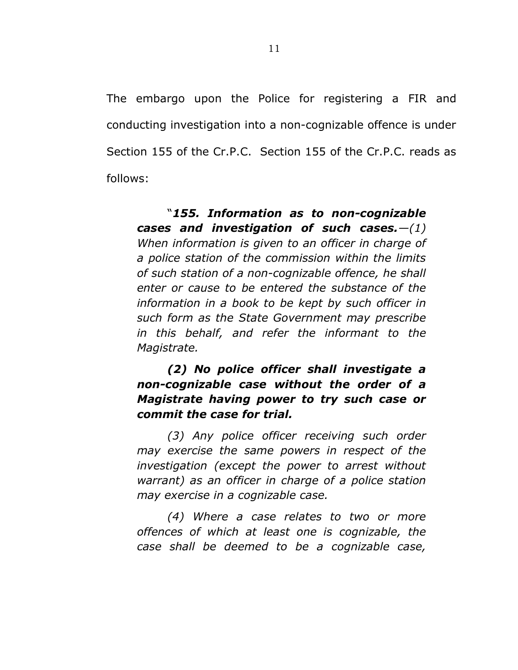The embargo upon the Police for registering a FIR and conducting investigation into a non-cognizable offence is under Section 155 of the Cr.P.C. Section 155 of the Cr.P.C. reads as follows:

"*155. Information as to non-cognizable cases and investigation of such cases.—(1) When information is given to an officer in charge of a police station of the commission within the limits of such station of a non-cognizable offence, he shall enter or cause to be entered the substance of the information in a book to be kept by such officer in such form as the State Government may prescribe in this behalf, and refer the informant to the Magistrate.* 

# *(2) No police officer shall investigate a non-cognizable case without the order of a Magistrate having power to try such case or commit the case for trial.*

*(3) Any police officer receiving such order may exercise the same powers in respect of the investigation (except the power to arrest without warrant) as an officer in charge of a police station may exercise in a cognizable case.* 

*(4) Where a case relates to two or more offences of which at least one is cognizable, the case shall be deemed to be a cognizable case,*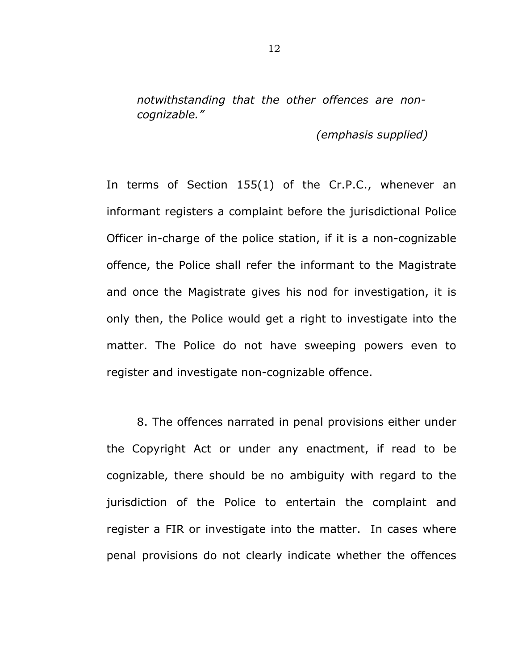*notwithstanding that the other offences are noncognizable."* 

 *(emphasis supplied)* 

In terms of Section 155(1) of the Cr.P.C., whenever an informant registers a complaint before the jurisdictional Police Officer in-charge of the police station, if it is a non-cognizable offence, the Police shall refer the informant to the Magistrate and once the Magistrate gives his nod for investigation, it is only then, the Police would get a right to investigate into the matter. The Police do not have sweeping powers even to register and investigate non-cognizable offence.

 8. The offences narrated in penal provisions either under the Copyright Act or under any enactment, if read to be cognizable, there should be no ambiguity with regard to the jurisdiction of the Police to entertain the complaint and register a FIR or investigate into the matter. In cases where penal provisions do not clearly indicate whether the offences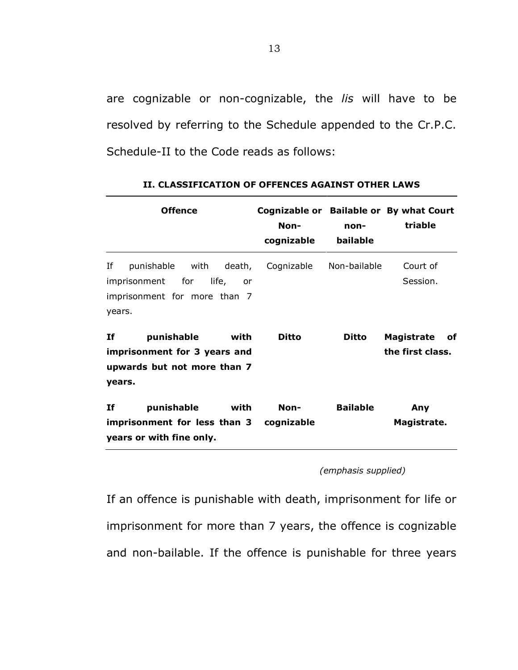are cognizable or non-cognizable, the *lis* will have to be resolved by referring to the Schedule appended to the Cr.P.C. Schedule-II to the Code reads as follows:

| <b>Offence</b>                                                                                            | Non-<br>cognizable | non-<br>bailable | Cognizable or Bailable or By what Court<br>triable |
|-----------------------------------------------------------------------------------------------------------|--------------------|------------------|----------------------------------------------------|
| Ιf<br>punishable with death,<br>imprisonment for<br>life,<br>or<br>imprisonment for more than 7<br>years. | Cognizable         | Non-bailable     | Court of<br>Session.                               |
| If<br>punishable<br>with<br>imprisonment for 3 years and<br>upwards but not more than 7<br>years.         | Ditto              | Ditto            | Magistrate<br>оf<br>the first class.               |
| punishable<br>If<br>with<br>imprisonment for less than 3<br>years or with fine only.                      | Non-<br>cognizable | <b>Bailable</b>  | Any<br>Magistrate.                                 |

|  |  |  | II. CLASSIFICATION OF OFFENCES AGAINST OTHER LAWS |  |  |  |
|--|--|--|---------------------------------------------------|--|--|--|
|--|--|--|---------------------------------------------------|--|--|--|

 *(emphasis supplied)* 

If an offence is punishable with death, imprisonment for life or imprisonment for more than 7 years, the offence is cognizable and non-bailable. If the offence is punishable for three years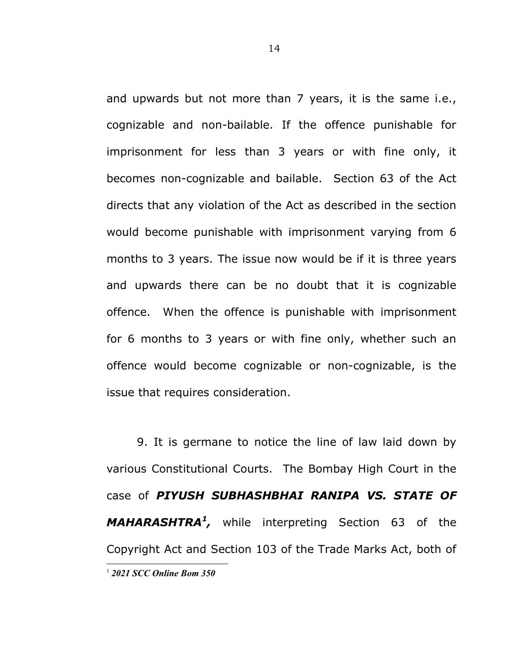and upwards but not more than 7 years, it is the same i.e., cognizable and non-bailable. If the offence punishable for imprisonment for less than 3 years or with fine only, it becomes non-cognizable and bailable. Section 63 of the Act directs that any violation of the Act as described in the section would become punishable with imprisonment varying from 6 months to 3 years. The issue now would be if it is three years and upwards there can be no doubt that it is cognizable offence. When the offence is punishable with imprisonment for 6 months to 3 years or with fine only, whether such an offence would become cognizable or non-cognizable, is the issue that requires consideration.

 9. It is germane to notice the line of law laid down by various Constitutional Courts. The Bombay High Court in the case of *PIYUSH SUBHASHBHAI RANIPA VS. STATE OF MAHARASHTRA<sup>1</sup> ,* while interpreting Section 63 of the Copyright Act and Section 103 of the Trade Marks Act, both of 1 *2021 SCC Online Bom 350*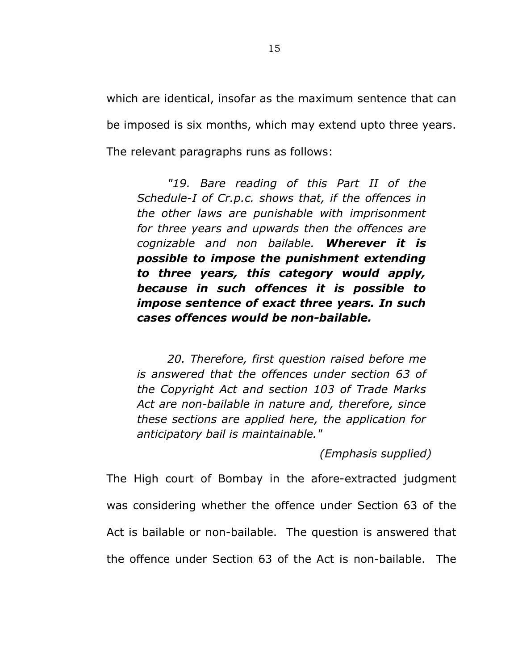which are identical, insofar as the maximum sentence that can be imposed is six months, which may extend upto three years. The relevant paragraphs runs as follows:

*"19. Bare reading of this Part II of the Schedule-I of Cr.p.c. shows that, if the offences in the other laws are punishable with imprisonment for three years and upwards then the offences are cognizable and non bailable. Wherever it is possible to impose the punishment extending to three years, this category would apply, because in such offences it is possible to impose sentence of exact three years. In such cases offences would be non-bailable.* 

*20. Therefore, first question raised before me is answered that the offences under section 63 of the Copyright Act and section 103 of Trade Marks Act are non-bailable in nature and, therefore, since these sections are applied here, the application for anticipatory bail is maintainable."* 

 *(Emphasis supplied)* 

The High court of Bombay in the afore-extracted judgment was considering whether the offence under Section 63 of the Act is bailable or non-bailable. The question is answered that the offence under Section 63 of the Act is non-bailable. The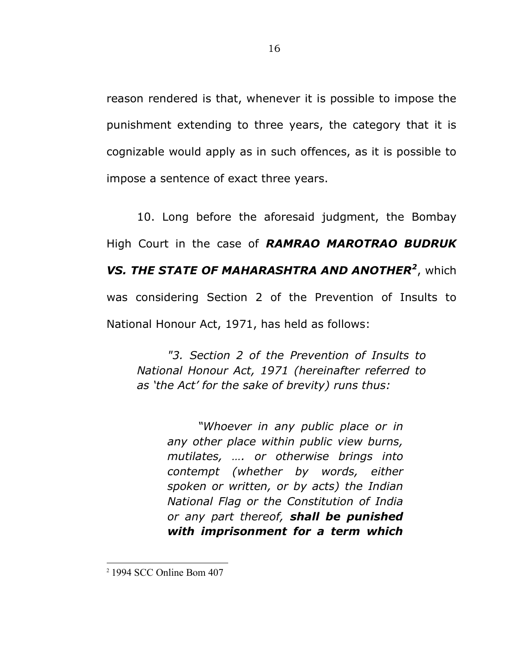reason rendered is that, whenever it is possible to impose the punishment extending to three years, the category that it is cognizable would apply as in such offences, as it is possible to impose a sentence of exact three years.

 10. Long before the aforesaid judgment, the Bombay High Court in the case of *RAMRAO MAROTRAO BUDRUK VS. THE STATE OF MAHARASHTRA AND ANOTHER<sup>2</sup>* , which was considering Section 2 of the Prevention of Insults to National Honour Act, 1971, has held as follows:

*"3. Section 2 of the Prevention of Insults to National Honour Act, 1971 (hereinafter referred to as 'the Act' for the sake of brevity) runs thus:* 

> *"Whoever in any public place or in any other place within public view burns, mutilates, …. or otherwise brings into contempt (whether by words, either spoken or written, or by acts) the Indian National Flag or the Constitution of India or any part thereof, shall be punished with imprisonment for a term which*

<sup>2</sup> 1994 SCC Online Bom 407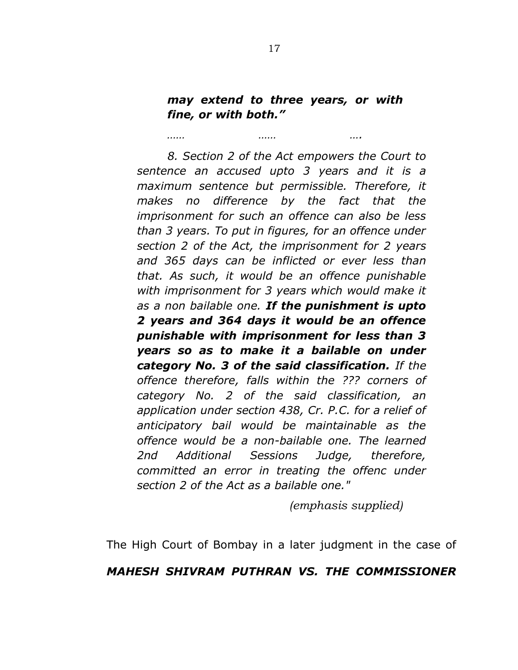# *may extend to three years, or with fine, or with both."*

*…… …… ….* 

*8. Section 2 of the Act empowers the Court to sentence an accused upto 3 years and it is a maximum sentence but permissible. Therefore, it makes no difference by the fact that the imprisonment for such an offence can also be less than 3 years. To put in figures, for an offence under section 2 of the Act, the imprisonment for 2 years and 365 days can be inflicted or ever less than that. As such, it would be an offence punishable with imprisonment for 3 years which would make it as a non bailable one. If the punishment is upto 2 years and 364 days it would be an offence punishable with imprisonment for less than 3 years so as to make it a bailable on under category No. 3 of the said classification. If the offence therefore, falls within the ??? corners of category No. 2 of the said classification, an application under section 438, Cr. P.C. for a relief of anticipatory bail would be maintainable as the offence would be a non-bailable one. The learned 2nd Additional Sessions Judge, therefore, committed an error in treating the offenc under section 2 of the Act as a bailable one."* 

 *(emphasis supplied)* 

The High Court of Bombay in a later judgment in the case of

# *MAHESH SHIVRAM PUTHRAN VS. THE COMMISSIONER*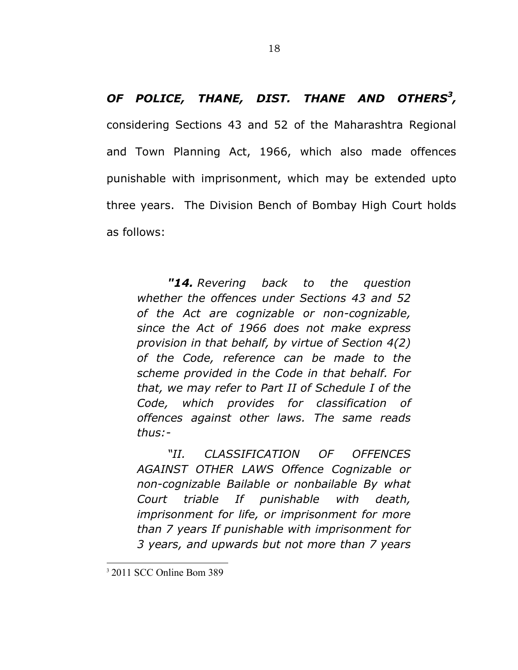*OF POLICE, THANE, DIST. THANE AND OTHERS<sup>3</sup> ,* considering Sections 43 and 52 of the Maharashtra Regional and Town Planning Act, 1966, which also made offences punishable with imprisonment, which may be extended upto three years. The Division Bench of Bombay High Court holds as follows:

*"14. Revering back to the question whether the offences under Sections 43 and 52 of the Act are cognizable or non-cognizable, since the Act of 1966 does not make express provision in that behalf, by virtue of Section 4(2) of the Code, reference can be made to the scheme provided in the Code in that behalf. For that, we may refer to Part II of Schedule I of the Code, which provides for classification of offences against other laws. The same reads thus:-* 

*"II. CLASSIFICATION OF OFFENCES AGAINST OTHER LAWS Offence Cognizable or non-cognizable Bailable or nonbailable By what Court triable If punishable with death, imprisonment for life, or imprisonment for more than 7 years If punishable with imprisonment for 3 years, and upwards but not more than 7 years* 

<sup>3</sup> 2011 SCC Online Bom 389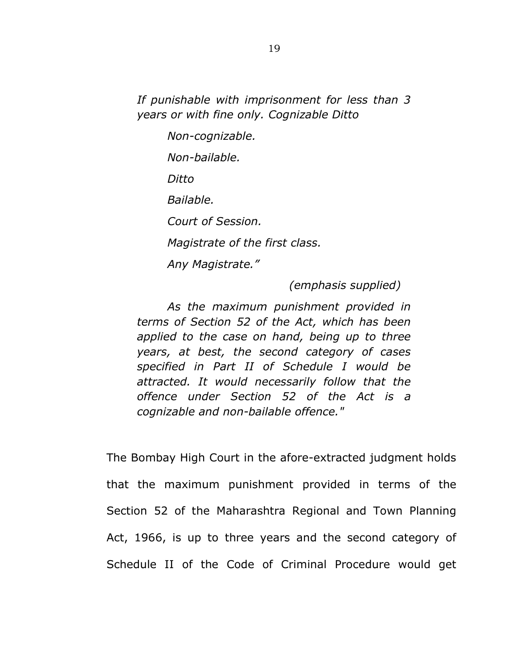*If punishable with imprisonment for less than 3 years or with fine only. Cognizable Ditto* 

> *Non-cognizable. Non-bailable. Ditto Bailable. Court of Session. Magistrate of the first class. Any Magistrate."*

> > *(emphasis supplied)*

*As the maximum punishment provided in terms of Section 52 of the Act, which has been applied to the case on hand, being up to three years, at best, the second category of cases specified in Part II of Schedule I would be attracted. It would necessarily follow that the offence under Section 52 of the Act is a cognizable and non-bailable offence."* 

The Bombay High Court in the afore-extracted judgment holds that the maximum punishment provided in terms of the Section 52 of the Maharashtra Regional and Town Planning Act, 1966, is up to three years and the second category of Schedule II of the Code of Criminal Procedure would get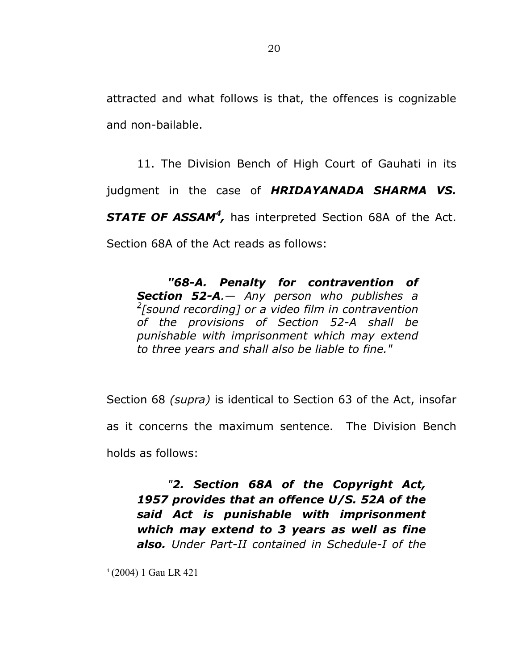attracted and what follows is that, the offences is cognizable and non-bailable.

11. The Division Bench of High Court of Gauhati in its judgment in the case of *HRIDAYANADA SHARMA VS.*  STATE OF ASSAM<sup>4</sup>, has interpreted Section 68A of the Act. Section 68A of the Act reads as follows:

*"68-A. Penalty for contravention of Section 52-A.— Any person who publishes a 2 [sound recording] or a video film in contravention of the provisions of Section 52-A shall be punishable with imprisonment which may extend to three years and shall also be liable to fine."* 

Section 68 *(supra)* is identical to Section 63 of the Act, insofar as it concerns the maximum sentence. The Division Bench holds as follows:

*"2. Section 68A of the Copyright Act, 1957 provides that an offence U/S. 52A of the said Act is punishable with imprisonment which may extend to 3 years as well as fine also. Under Part-II contained in Schedule-I of the* 

<sup>4</sup> (2004) 1 Gau LR 421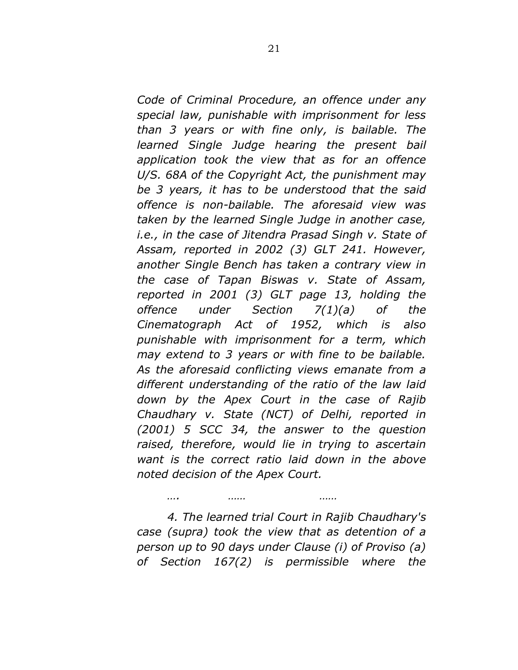*Code of Criminal Procedure, an offence under any special law, punishable with imprisonment for less than 3 years or with fine only, is bailable. The learned Single Judge hearing the present bail application took the view that as for an offence U/S. 68A of the Copyright Act, the punishment may be 3 years, it has to be understood that the said offence is non-bailable. The aforesaid view was taken by the learned Single Judge in another case, i.e., in the case of Jitendra Prasad Singh v. State of Assam, reported in 2002 (3) GLT 241. However, another Single Bench has taken a contrary view in the case of Tapan Biswas v. State of Assam, reported in 2001 (3) GLT page 13, holding the offence under Section 7(1)(a) of the Cinematograph Act of 1952, which is also punishable with imprisonment for a term, which may extend to 3 years or with fine to be bailable. As the aforesaid conflicting views emanate from a different understanding of the ratio of the law laid down by the Apex Court in the case of Rajib Chaudhary v. State (NCT) of Delhi, reported in (2001) 5 SCC 34, the answer to the question raised, therefore, would lie in trying to ascertain want is the correct ratio laid down in the above noted decision of the Apex Court.* 

*4. The learned trial Court in Rajib Chaudhary's case (supra) took the view that as detention of a person up to 90 days under Clause (i) of Proviso (a) of Section 167(2) is permissible where the* 

*…. …… ……*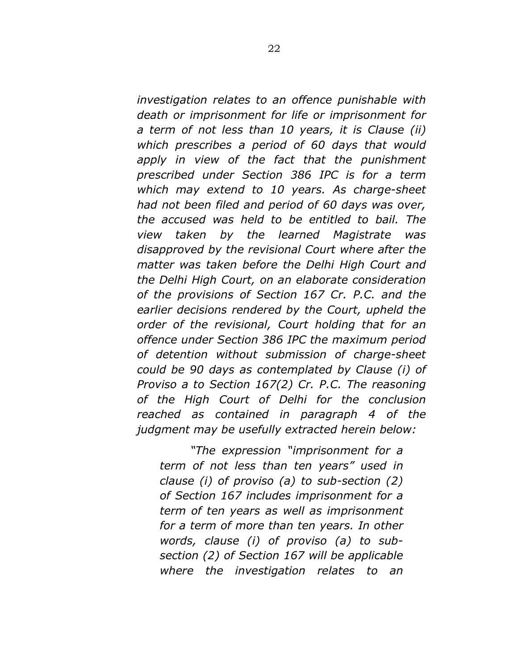*investigation relates to an offence punishable with death or imprisonment for life or imprisonment for a term of not less than 10 years, it is Clause (ii) which prescribes a period of 60 days that would apply in view of the fact that the punishment prescribed under Section 386 IPC is for a term which may extend to 10 years. As charge-sheet had not been filed and period of 60 days was over, the accused was held to be entitled to bail. The view taken by the learned Magistrate was disapproved by the revisional Court where after the matter was taken before the Delhi High Court and the Delhi High Court, on an elaborate consideration of the provisions of Section 167 Cr. P.C. and the earlier decisions rendered by the Court, upheld the order of the revisional, Court holding that for an offence under Section 386 IPC the maximum period of detention without submission of charge-sheet could be 90 days as contemplated by Clause (i) of Proviso a to Section 167(2) Cr. P.C. The reasoning of the High Court of Delhi for the conclusion reached as contained in paragraph 4 of the judgment may be usefully extracted herein below:* 

*"The expression "imprisonment for a term of not less than ten years" used in clause (i) of proviso (a) to sub-section (2) of Section 167 includes imprisonment for a term of ten years as well as imprisonment for a term of more than ten years. In other words, clause (i) of proviso (a) to subsection (2) of Section 167 will be applicable where the investigation relates to an*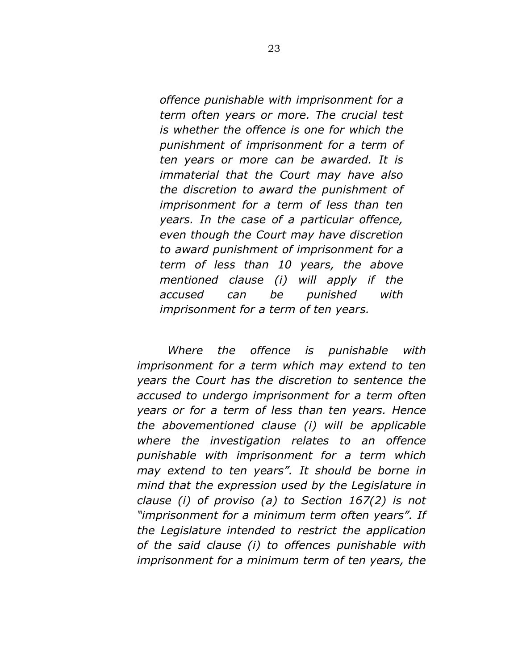*offence punishable with imprisonment for a term often years or more. The crucial test is whether the offence is one for which the punishment of imprisonment for a term of ten years or more can be awarded. It is immaterial that the Court may have also the discretion to award the punishment of imprisonment for a term of less than ten years. In the case of a particular offence, even though the Court may have discretion to award punishment of imprisonment for a term of less than 10 years, the above mentioned clause (i) will apply if the accused can be punished with imprisonment for a term of ten years.* 

*Where the offence is punishable with imprisonment for a term which may extend to ten years the Court has the discretion to sentence the accused to undergo imprisonment for a term often years or for a term of less than ten years. Hence the abovementioned clause (i) will be applicable where the investigation relates to an offence punishable with imprisonment for a term which may extend to ten years". It should be borne in mind that the expression used by the Legislature in clause (i) of proviso (a) to Section 167(2) is not "imprisonment for a minimum term often years". If the Legislature intended to restrict the application of the said clause (i) to offences punishable with imprisonment for a minimum term of ten years, the*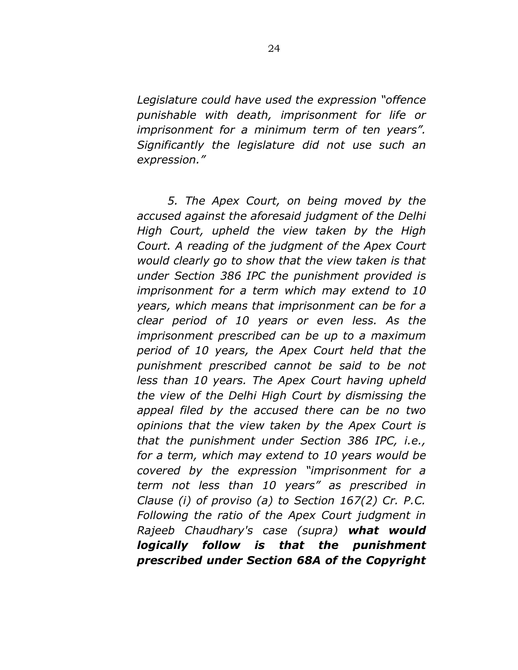*Legislature could have used the expression "offence punishable with death, imprisonment for life or imprisonment for a minimum term of ten years". Significantly the legislature did not use such an expression."* 

*5. The Apex Court, on being moved by the accused against the aforesaid judgment of the Delhi High Court, upheld the view taken by the High Court. A reading of the judgment of the Apex Court would clearly go to show that the view taken is that under Section 386 IPC the punishment provided is imprisonment for a term which may extend to 10 years, which means that imprisonment can be for a clear period of 10 years or even less. As the imprisonment prescribed can be up to a maximum period of 10 years, the Apex Court held that the punishment prescribed cannot be said to be not less than 10 years. The Apex Court having upheld the view of the Delhi High Court by dismissing the appeal filed by the accused there can be no two opinions that the view taken by the Apex Court is that the punishment under Section 386 IPC, i.e., for a term, which may extend to 10 years would be covered by the expression "imprisonment for a term not less than 10 years" as prescribed in Clause (i) of proviso (a) to Section 167(2) Cr. P.C. Following the ratio of the Apex Court judgment in Rajeeb Chaudhary's case (supra) what would logically follow is that the punishment prescribed under Section 68A of the Copyright*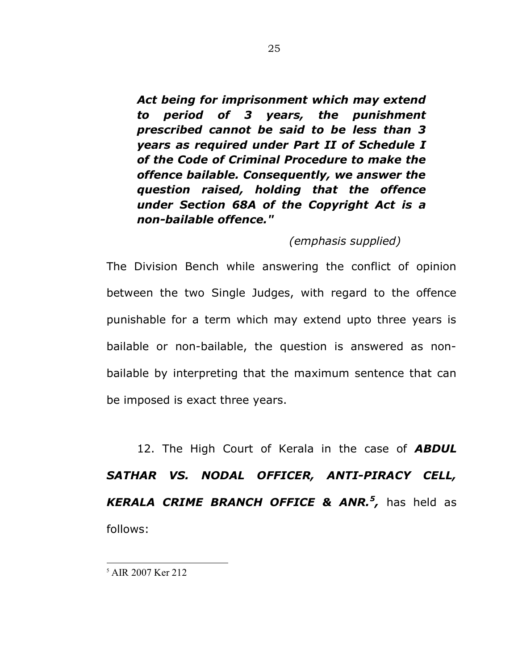*Act being for imprisonment which may extend to period of 3 years, the punishment prescribed cannot be said to be less than 3 years as required under Part II of Schedule I of the Code of Criminal Procedure to make the offence bailable. Consequently, we answer the question raised, holding that the offence under Section 68A of the Copyright Act is a non-bailable offence."* 

## *(emphasis supplied)*

The Division Bench while answering the conflict of opinion between the two Single Judges, with regard to the offence punishable for a term which may extend upto three years is bailable or non-bailable, the question is answered as nonbailable by interpreting that the maximum sentence that can be imposed is exact three years.

12. The High Court of Kerala in the case of *ABDUL SATHAR VS. NODAL OFFICER, ANTI-PIRACY CELL, KERALA CRIME BRANCH OFFICE & ANR.<sup>5</sup> ,* has held as follows:

<sup>5</sup> AIR 2007 Ker 212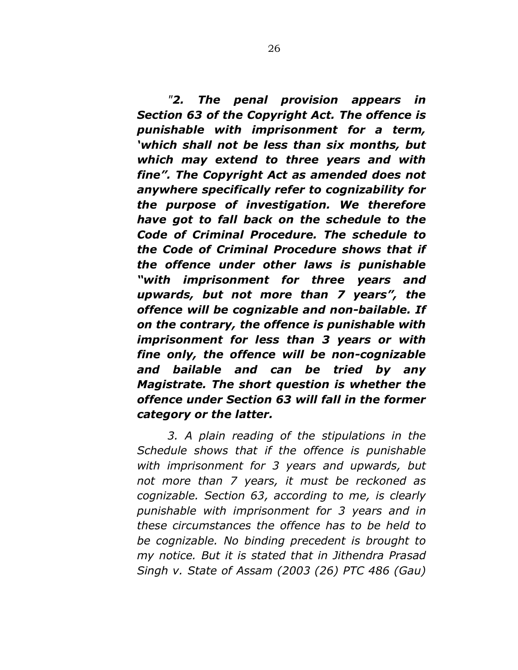*"2. The penal provision appears in Section 63 of the Copyright Act. The offence is punishable with imprisonment for a term, 'which shall not be less than six months, but which may extend to three years and with fine". The Copyright Act as amended does not anywhere specifically refer to cognizability for the purpose of investigation. We therefore have got to fall back on the schedule to the Code of Criminal Procedure. The schedule to the Code of Criminal Procedure shows that if the offence under other laws is punishable "with imprisonment for three years and upwards, but not more than 7 years", the offence will be cognizable and non-bailable. If on the contrary, the offence is punishable with imprisonment for less than 3 years or with fine only, the offence will be non-cognizable and bailable and can be tried by any Magistrate. The short question is whether the offence under Section 63 will fall in the former category or the latter.*

*3. A plain reading of the stipulations in the Schedule shows that if the offence is punishable with imprisonment for 3 years and upwards, but not more than 7 years, it must be reckoned as cognizable. Section 63, according to me, is clearly punishable with imprisonment for 3 years and in these circumstances the offence has to be held to be cognizable. No binding precedent is brought to my notice. But it is stated that in Jithendra Prasad Singh v. State of Assam (2003 (26) PTC 486 (Gau)*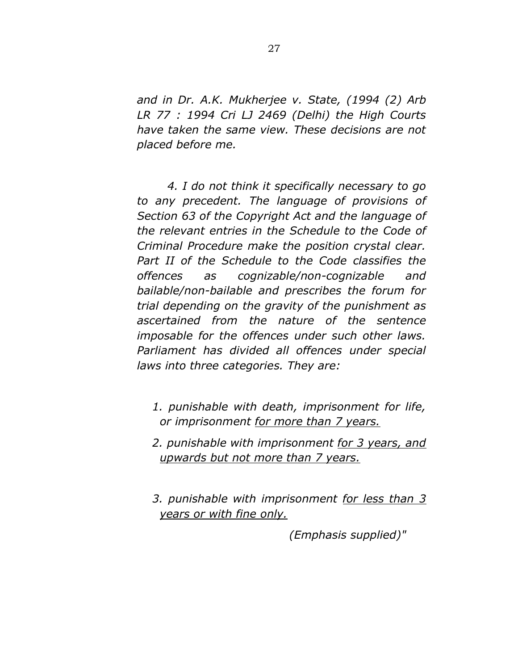*and in Dr. A.K. Mukherjee v. State, (1994 (2) Arb LR 77 : 1994 Cri LJ 2469 (Delhi) the High Courts have taken the same view. These decisions are not placed before me.* 

*4. I do not think it specifically necessary to go to any precedent. The language of provisions of Section 63 of the Copyright Act and the language of the relevant entries in the Schedule to the Code of Criminal Procedure make the position crystal clear. Part II of the Schedule to the Code classifies the offences as cognizable/non-cognizable and bailable/non-bailable and prescribes the forum for trial depending on the gravity of the punishment as ascertained from the nature of the sentence imposable for the offences under such other laws. Parliament has divided all offences under special laws into three categories. They are:* 

- *1. punishable with death, imprisonment for life, or imprisonment for more than 7 years.*
- *2. punishable with imprisonment for 3 years, and upwards but not more than 7 years.*
- *3. punishable with imprisonment for less than 3 years or with fine only.*

*(Emphasis supplied)"*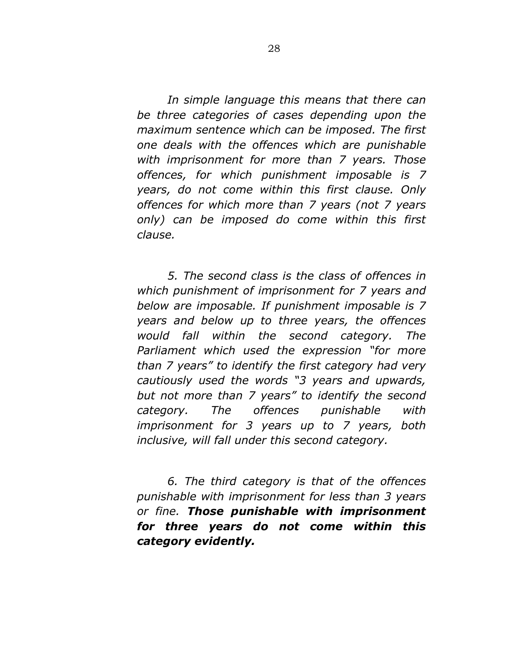*In simple language this means that there can be three categories of cases depending upon the maximum sentence which can be imposed. The first one deals with the offences which are punishable with imprisonment for more than 7 years. Those offences, for which punishment imposable is 7 years, do not come within this first clause. Only offences for which more than 7 years (not 7 years only) can be imposed do come within this first clause.* 

*5. The second class is the class of offences in which punishment of imprisonment for 7 years and below are imposable. If punishment imposable is 7 years and below up to three years, the offences would fall within the second category. The Parliament which used the expression "for more than 7 years" to identify the first category had very cautiously used the words "3 years and upwards, but not more than 7 years" to identify the second category. The offences punishable with imprisonment for 3 years up to 7 years, both inclusive, will fall under this second category.* 

*6. The third category is that of the offences punishable with imprisonment for less than 3 years or fine. Those punishable with imprisonment for three years do not come within this category evidently.*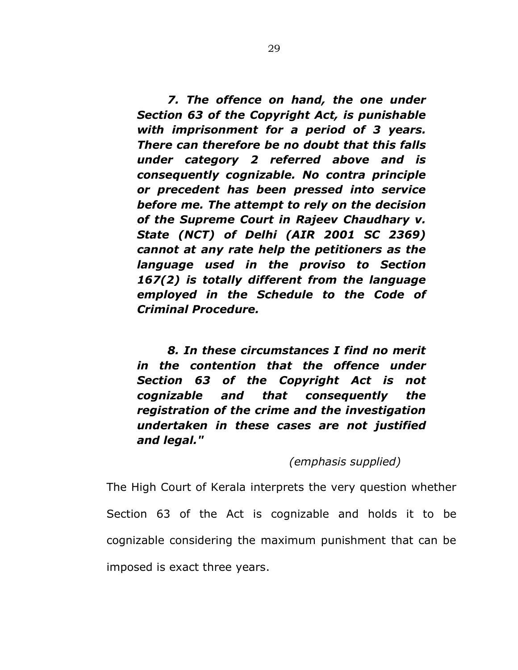*7. The offence on hand, the one under Section 63 of the Copyright Act, is punishable with imprisonment for a period of 3 years. There can therefore be no doubt that this falls under category 2 referred above and is consequently cognizable. No contra principle or precedent has been pressed into service before me. The attempt to rely on the decision of the Supreme Court in Rajeev Chaudhary v. State (NCT) of Delhi (AIR 2001 SC 2369) cannot at any rate help the petitioners as the language used in the proviso to Section 167(2) is totally different from the language employed in the Schedule to the Code of Criminal Procedure.* 

*8. In these circumstances I find no merit in the contention that the offence under Section 63 of the Copyright Act is not cognizable and that consequently the registration of the crime and the investigation undertaken in these cases are not justified and legal."*

## *(emphasis supplied)*

The High Court of Kerala interprets the very question whether Section 63 of the Act is cognizable and holds it to be cognizable considering the maximum punishment that can be imposed is exact three years.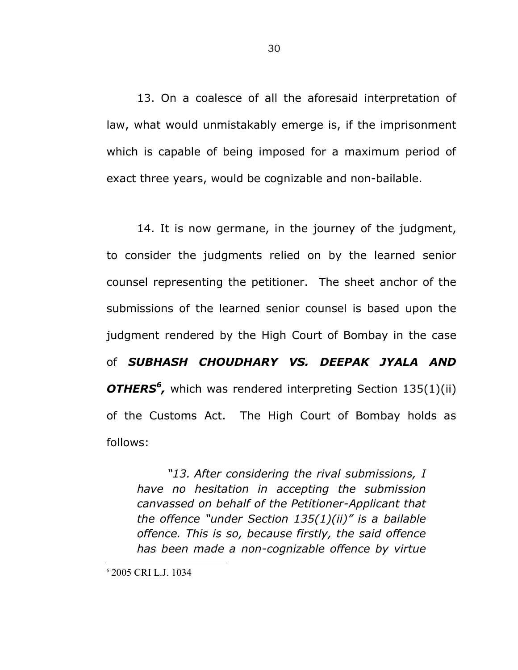13. On a coalesce of all the aforesaid interpretation of law, what would unmistakably emerge is, if the imprisonment which is capable of being imposed for a maximum period of exact three years, would be cognizable and non-bailable.

14. It is now germane, in the journey of the judgment, to consider the judgments relied on by the learned senior counsel representing the petitioner. The sheet anchor of the submissions of the learned senior counsel is based upon the judgment rendered by the High Court of Bombay in the case of *SUBHASH CHOUDHARY VS. DEEPAK JYALA AND*  **OTHERS<sup>6</sup>**, which was rendered interpreting Section 135(1)(ii) of the Customs Act. The High Court of Bombay holds as follows:

*"13. After considering the rival submissions, I have no hesitation in accepting the submission canvassed on behalf of the Petitioner-Applicant that the offence "under Section 135(1)(ii)" is a bailable offence. This is so, because firstly, the said offence has been made a non-cognizable offence by virtue* 

<sup>6</sup> 2005 CRI L.J. 1034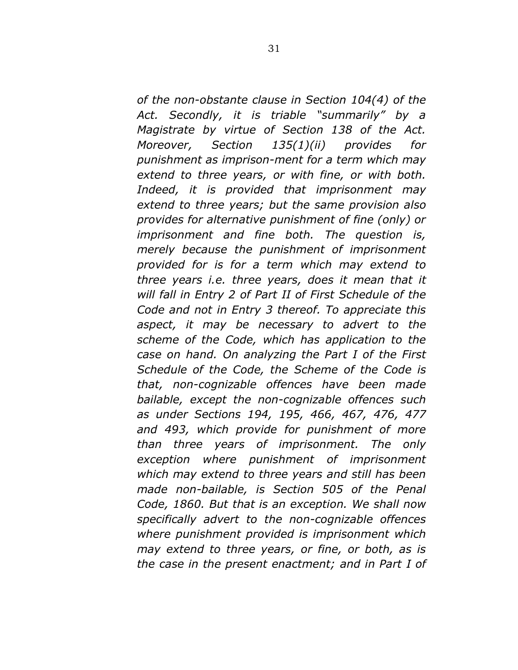*of the non-obstante clause in Section 104(4) of the Act. Secondly, it is triable "summarily" by a Magistrate by virtue of Section 138 of the Act. Moreover, Section 135(1)(ii) provides for punishment as imprison-ment for a term which may extend to three years, or with fine, or with both. Indeed, it is provided that imprisonment may extend to three years; but the same provision also provides for alternative punishment of fine (only) or imprisonment and fine both. The question is, merely because the punishment of imprisonment provided for is for a term which may extend to three years i.e. three years, does it mean that it will fall in Entry 2 of Part II of First Schedule of the Code and not in Entry 3 thereof. To appreciate this aspect, it may be necessary to advert to the scheme of the Code, which has application to the case on hand. On analyzing the Part I of the First Schedule of the Code, the Scheme of the Code is that, non-cognizable offences have been made bailable, except the non-cognizable offences such as under Sections 194, 195, 466, 467, 476, 477 and 493, which provide for punishment of more than three years of imprisonment. The only exception where punishment of imprisonment which may extend to three years and still has been made non-bailable, is Section 505 of the Penal Code, 1860. But that is an exception. We shall now specifically advert to the non-cognizable offences where punishment provided is imprisonment which may extend to three years, or fine, or both, as is the case in the present enactment; and in Part I of*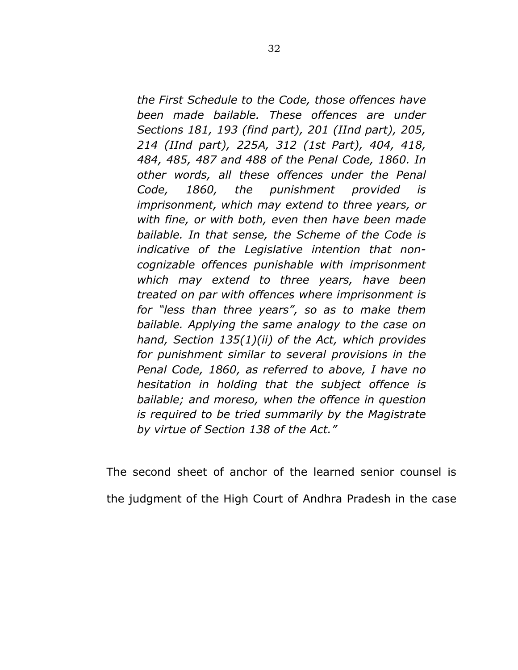*the First Schedule to the Code, those offences have been made bailable. These offences are under Sections 181, 193 (find part), 201 (IInd part), 205, 214 (IInd part), 225A, 312 (1st Part), 404, 418, 484, 485, 487 and 488 of the Penal Code, 1860. In other words, all these offences under the Penal Code, 1860, the punishment provided is imprisonment, which may extend to three years, or with fine, or with both, even then have been made bailable. In that sense, the Scheme of the Code is indicative of the Legislative intention that noncognizable offences punishable with imprisonment which may extend to three years, have been treated on par with offences where imprisonment is for "less than three years", so as to make them bailable. Applying the same analogy to the case on hand, Section 135(1)(ii) of the Act, which provides for punishment similar to several provisions in the Penal Code, 1860, as referred to above, I have no hesitation in holding that the subject offence is bailable; and moreso, when the offence in question is required to be tried summarily by the Magistrate by virtue of Section 138 of the Act."* 

The second sheet of anchor of the learned senior counsel is the judgment of the High Court of Andhra Pradesh in the case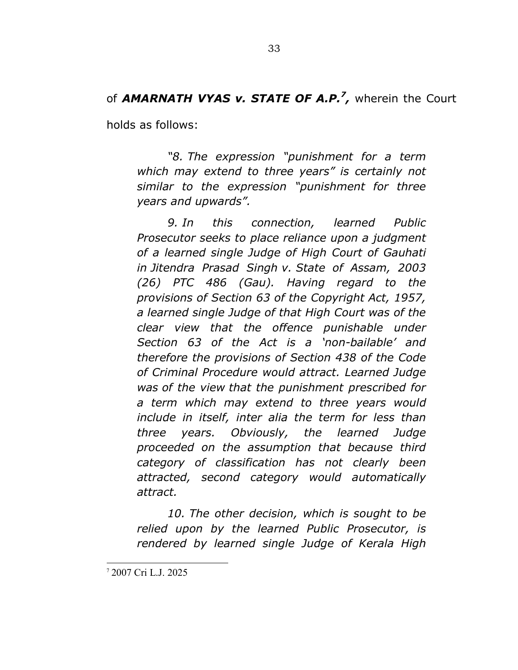# of AMARNATH VYAS v. STATE OF A.P.<sup>7</sup>, wherein the Court

holds as follows:

*"8. The expression "punishment for a term which may extend to three years" is certainly not similar to the expression "punishment for three years and upwards".* 

*9. In this connection, learned Public Prosecutor seeks to place reliance upon a judgment of a learned single Judge of High Court of Gauhati in Jitendra Prasad Singh v. State of Assam, 2003 (26) PTC 486 (Gau). Having regard to the provisions of Section 63 of the Copyright Act, 1957, a learned single Judge of that High Court was of the clear view that the offence punishable under Section 63 of the Act is a 'non-bailable' and therefore the provisions of Section 438 of the Code of Criminal Procedure would attract. Learned Judge was of the view that the punishment prescribed for a term which may extend to three years would include in itself, inter alia the term for less than three years. Obviously, the learned Judge proceeded on the assumption that because third category of classification has not clearly been attracted, second category would automatically attract.* 

*10. The other decision, which is sought to be relied upon by the learned Public Prosecutor, is rendered by learned single Judge of Kerala High* 

<sup>7</sup> 2007 Cri L.J. 2025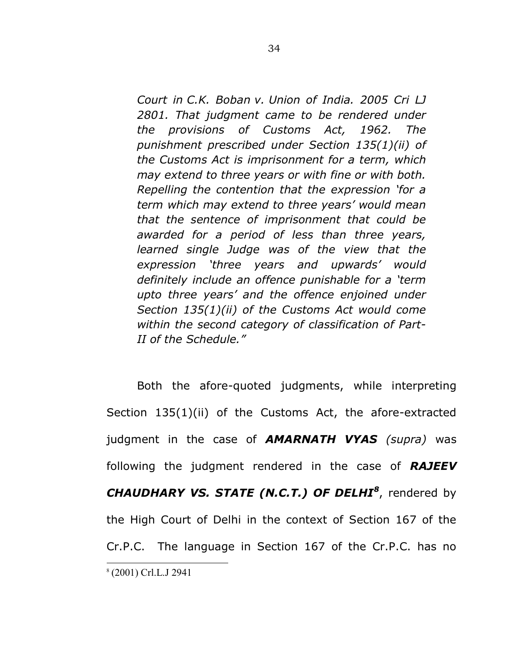*Court in C.K. Boban v. Union of India. 2005 Cri LJ 2801. That judgment came to be rendered under the provisions of Customs Act, 1962. The punishment prescribed under Section 135(1)(ii) of the Customs Act is imprisonment for a term, which may extend to three years or with fine or with both. Repelling the contention that the expression 'for a term which may extend to three years' would mean that the sentence of imprisonment that could be awarded for a period of less than three years, learned single Judge was of the view that the expression 'three years and upwards' would definitely include an offence punishable for a 'term upto three years' and the offence enjoined under Section 135(1)(ii) of the Customs Act would come within the second category of classification of Part-II of the Schedule."* 

Both the afore-quoted judgments, while interpreting Section 135(1)(ii) of the Customs Act, the afore-extracted judgment in the case of *AMARNATH VYAS (supra)* was following the judgment rendered in the case of *RAJEEV CHAUDHARY VS. STATE (N.C.T.) OF DELHI<sup>8</sup>* , rendered by the High Court of Delhi in the context of Section 167 of the Cr.P.C. The language in Section 167 of the Cr.P.C. has no 8 (2001) Crl.L.J 2941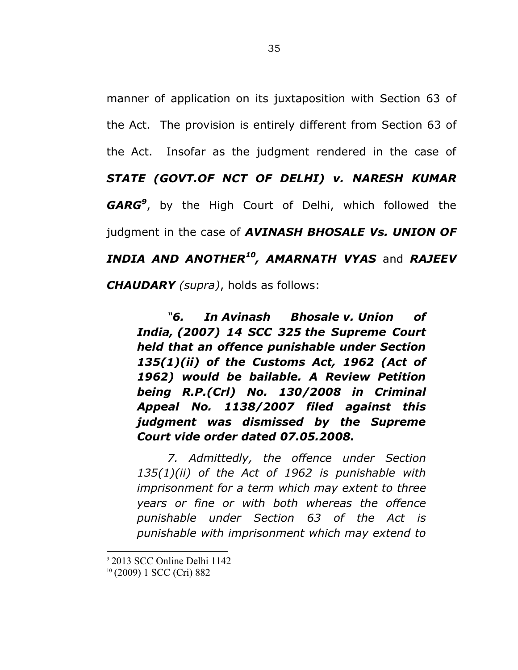manner of application on its juxtaposition with Section 63 of the Act. The provision is entirely different from Section 63 of the Act. Insofar as the judgment rendered in the case of *STATE (GOVT.OF NCT OF DELHI) v. NARESH KUMAR GARG<sup>9</sup>* , by the High Court of Delhi, which followed the judgment in the case of *AVINASH BHOSALE Vs. UNION OF INDIA AND ANOTHER<sup>10</sup>, AMARNATH VYAS* and *RAJEEV CHAUDARY (supra)*, holds as follows:

*"6. In Avinash Bhosale v. Union of India, (2007) 14 SCC 325 the Supreme Court held that an offence punishable under Section 135(1)(ii) of the Customs Act, 1962 (Act of 1962) would be bailable. A Review Petition being R.P.(Crl) No. 130/2008 in Criminal Appeal No. 1138/2007 filed against this judgment was dismissed by the Supreme Court vide order dated 07.05.2008.*

*7. Admittedly, the offence under Section 135(1)(ii) of the Act of 1962 is punishable with imprisonment for a term which may extent to three years or fine or with both whereas the offence punishable under Section 63 of the Act is punishable with imprisonment which may extend to* 

<sup>9</sup> 2013 SCC Online Delhi 1142 <sup>10</sup> (2009) 1 SCC (Cri) 882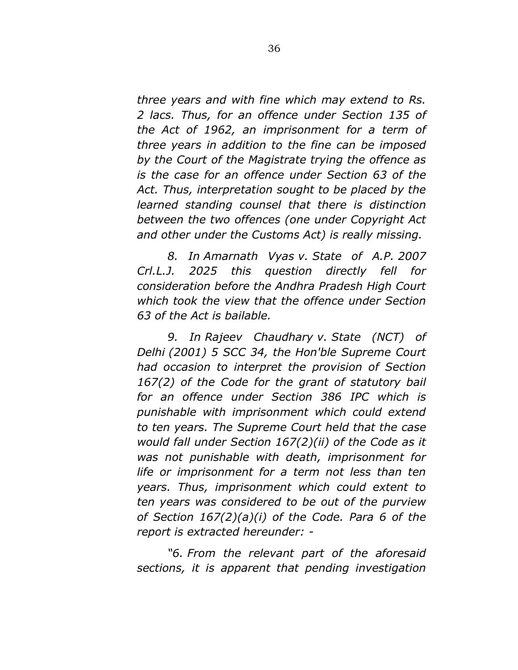*three years and with fine which may extend to Rs. 2 lacs. Thus, for an offence under Section 135 of the Act of 1962, an imprisonment for a term of three years in addition to the fine can be imposed by the Court of the Magistrate trying the offence as is the case for an offence under Section 63 of the Act. Thus, interpretation sought to be placed by the learned standing counsel that there is distinction between the two offences (one under Copyright Act and other under the Customs Act) is really missing.*

*8. In Amarnath Vyas v. State of A.P. 2007 Crl.L.J. 2025 this question directly fell for consideration before the Andhra Pradesh High Court which took the view that the offence under Section 63 of the Act is bailable.* 

*9. In Rajeev Chaudhary v. State (NCT) of Delhi (2001) 5 SCC 34, the Hon'ble Supreme Court had occasion to interpret the provision of Section 167(2) of the Code for the grant of statutory bail for an offence under Section 386 IPC which is punishable with imprisonment which could extend to ten years. The Supreme Court held that the case would fall under Section 167(2)(ii) of the Code as it was not punishable with death, imprisonment for life or imprisonment for a term not less than ten years. Thus, imprisonment which could extent to ten years was considered to be out of the purview of Section 167(2)(a)(i) of the Code. Para 6 of the report is extracted hereunder: -* 

*"6. From the relevant part of the aforesaid sections, it is apparent that pending investigation*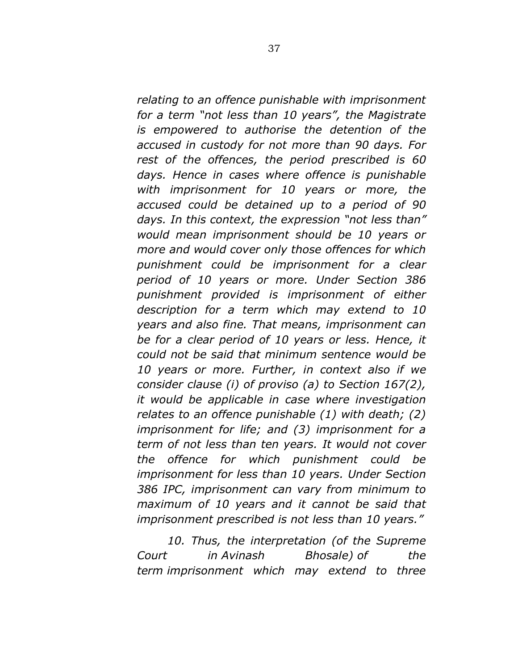*relating to an offence punishable with imprisonment for a term "not less than 10 years", the Magistrate is empowered to authorise the detention of the accused in custody for not more than 90 days. For rest of the offences, the period prescribed is 60 days. Hence in cases where offence is punishable with imprisonment for 10 years or more, the accused could be detained up to a period of 90 days. In this context, the expression "not less than" would mean imprisonment should be 10 years or more and would cover only those offences for which punishment could be imprisonment for a clear period of 10 years or more. Under Section 386 punishment provided is imprisonment of either description for a term which may extend to 10 years and also fine. That means, imprisonment can be for a clear period of 10 years or less. Hence, it could not be said that minimum sentence would be 10 years or more. Further, in context also if we consider clause (i) of proviso (a) to Section 167(2), it would be applicable in case where investigation relates to an offence punishable (1) with death; (2) imprisonment for life; and (3) imprisonment for a term of not less than ten years. It would not cover the offence for which punishment could be imprisonment for less than 10 years. Under Section 386 IPC, imprisonment can vary from minimum to maximum of 10 years and it cannot be said that imprisonment prescribed is not less than 10 years."*

*10. Thus, the interpretation (of the Supreme Court in Avinash Bhosale) of the term imprisonment which may extend to three*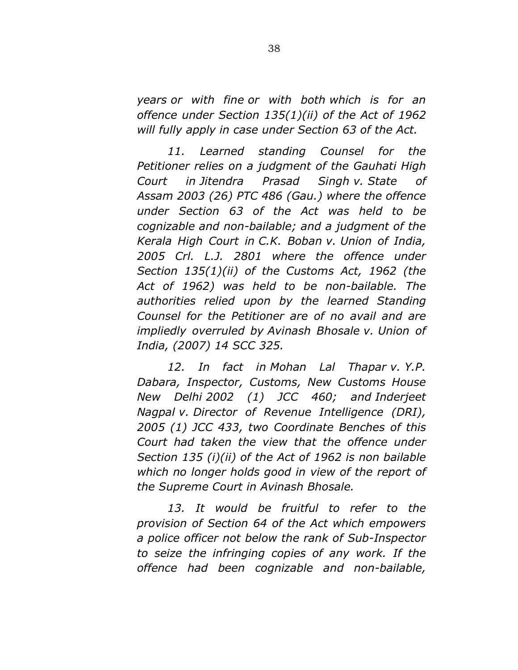*years or with fine or with both which is for an offence under Section 135(1)(ii) of the Act of 1962 will fully apply in case under Section 63 of the Act.* 

*11. Learned standing Counsel for the Petitioner relies on a judgment of the Gauhati High Court in Jitendra Prasad Singh v. State of Assam 2003 (26) PTC 486 (Gau.) where the offence under Section 63 of the Act was held to be cognizable and non-bailable; and a judgment of the Kerala High Court in C.K. Boban v. Union of India, 2005 Crl. L.J. 2801 where the offence under Section 135(1)(ii) of the Customs Act, 1962 (the Act of 1962) was held to be non-bailable. The authorities relied upon by the learned Standing Counsel for the Petitioner are of no avail and are impliedly overruled by Avinash Bhosale v. Union of India, (2007) 14 SCC 325.* 

*12. In fact in Mohan Lal Thapar v. Y.P. Dabara, Inspector, Customs, New Customs House New Delhi 2002 (1) JCC 460; and Inderjeet Nagpal v. Director of Revenue Intelligence (DRI), 2005 (1) JCC 433, two Coordinate Benches of this Court had taken the view that the offence under Section 135 (i)(ii) of the Act of 1962 is non bailable which no longer holds good in view of the report of the Supreme Court in Avinash Bhosale.* 

13. It would be fruitful to refer to the *provision of Section 64 of the Act which empowers a police officer not below the rank of Sub-Inspector to seize the infringing copies of any work. If the offence had been cognizable and non-bailable,*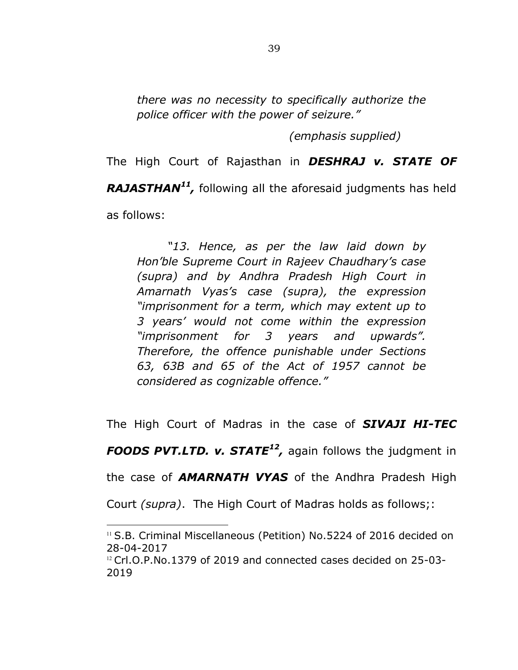*there was no necessity to specifically authorize the police officer with the power of seizure."* 

 *(emphasis supplied)* 

The High Court of Rajasthan in *DESHRAJ v. STATE OF RAJASTHAN<sup>11</sup> ,* following all the aforesaid judgments has held as follows:

*"13. Hence, as per the law laid down by Hon'ble Supreme Court in Rajeev Chaudhary's case (supra) and by Andhra Pradesh High Court in Amarnath Vyas's case (supra), the expression "imprisonment for a term, which may extent up to 3 years' would not come within the expression "imprisonment for 3 years and upwards". Therefore, the offence punishable under Sections 63, 63B and 65 of the Act of 1957 cannot be considered as cognizable offence."* 

The High Court of Madras in the case of *SIVAJI HI-TEC* 

*FOODS PVT.LTD. v. STATE<sup>12</sup> ,* again follows the judgment in

the case of *AMARNATH VYAS* of the Andhra Pradesh High

Court *(supra)*. The High Court of Madras holds as follows;:

<sup>&</sup>lt;sup>11</sup> S.B. Criminal Miscellaneous (Petition) No.5224 of 2016 decided on 28-04-2017

<sup>&</sup>lt;sup>12</sup> Crl.O.P.No.1379 of 2019 and connected cases decided on 25-03-2019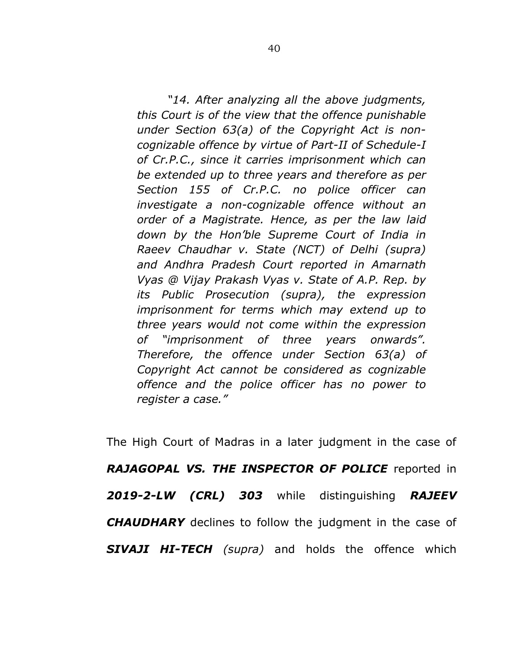*"14. After analyzing all the above judgments, this Court is of the view that the offence punishable under Section 63(a) of the Copyright Act is noncognizable offence by virtue of Part-II of Schedule-I of Cr.P.C., since it carries imprisonment which can be extended up to three years and therefore as per Section 155 of Cr.P.C. no police officer can investigate a non-cognizable offence without an order of a Magistrate. Hence, as per the law laid down by the Hon'ble Supreme Court of India in Raeev Chaudhar v. State (NCT) of Delhi (supra) and Andhra Pradesh Court reported in Amarnath Vyas @ Vijay Prakash Vyas v. State of A.P. Rep. by its Public Prosecution (supra), the expression imprisonment for terms which may extend up to three years would not come within the expression of "imprisonment of three years onwards". Therefore, the offence under Section 63(a) of Copyright Act cannot be considered as cognizable offence and the police officer has no power to register a case."* 

The High Court of Madras in a later judgment in the case of *RAJAGOPAL VS. THE INSPECTOR OF POLICE* reported in *2019-2-LW (CRL) 303* while distinguishing *RAJEEV CHAUDHARY* declines to follow the judgment in the case of *SIVAJI HI-TECH (supra)* and holds the offence which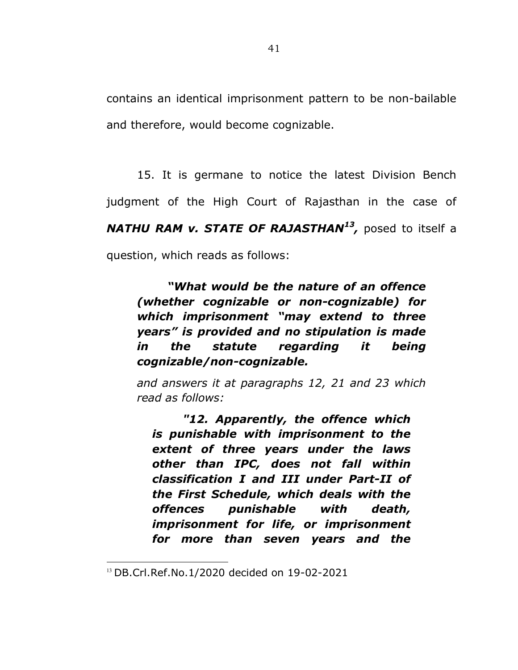contains an identical imprisonment pattern to be non-bailable and therefore, would become cognizable.

15. It is germane to notice the latest Division Bench judgment of the High Court of Rajasthan in the case of *NATHU RAM v. STATE OF RAJASTHAN<sup>13</sup> ,* posed to itself a question, which reads as follows:

*"What would be the nature of an offence (whether cognizable or non-cognizable) for which imprisonment "may extend to three years" is provided and no stipulation is made in the statute regarding it being cognizable/non-cognizable.* 

*and answers it at paragraphs 12, 21 and 23 which read as follows:* 

*"12. Apparently, the offence which is punishable with imprisonment to the extent of three years under the laws other than IPC, does not fall within classification I and III under Part-II of the First Schedule, which deals with the offences punishable with death, imprisonment for life, or imprisonment for more than seven years and the* 

<sup>13</sup> DB.Crl.Ref.No.1/2020 decided on 19-02-2021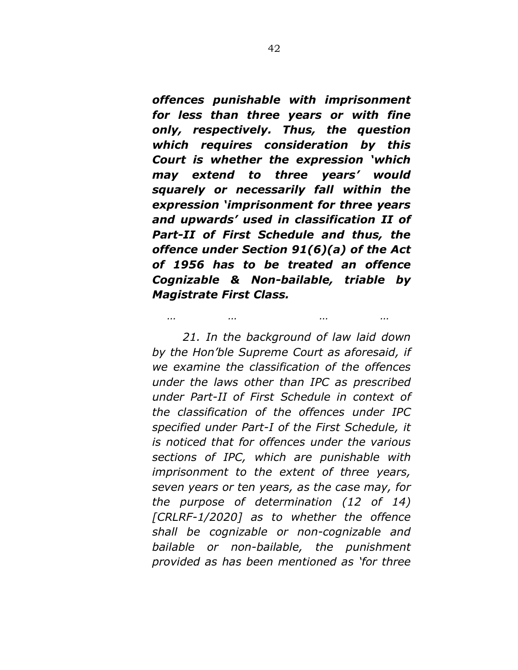*offences punishable with imprisonment for less than three years or with fine only, respectively. Thus, the question which requires consideration by this Court is whether the expression 'which may extend to three years' would squarely or necessarily fall within the expression 'imprisonment for three years and upwards' used in classification II of Part-II of First Schedule and thus, the offence under Section 91(6)(a) of the Act of 1956 has to be treated an offence Cognizable & Non-bailable, triable by Magistrate First Class.* 

*… … … …* 

*21. In the background of law laid down by the Hon'ble Supreme Court as aforesaid, if we examine the classification of the offences under the laws other than IPC as prescribed under Part-II of First Schedule in context of the classification of the offences under IPC specified under Part-I of the First Schedule, it is noticed that for offences under the various sections of IPC, which are punishable with imprisonment to the extent of three years, seven years or ten years, as the case may, for the purpose of determination (12 of 14) [CRLRF-1/2020] as to whether the offence shall be cognizable or non-cognizable and bailable or non-bailable, the punishment provided as has been mentioned as 'for three*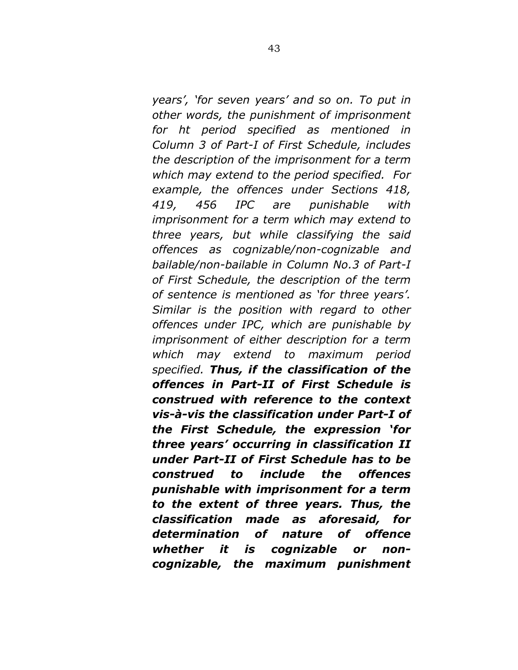*years', 'for seven years' and so on. To put in other words, the punishment of imprisonment for ht period specified as mentioned in Column 3 of Part-I of First Schedule, includes the description of the imprisonment for a term which may extend to the period specified. For example, the offences under Sections 418, 419, 456 IPC are punishable with imprisonment for a term which may extend to three years, but while classifying the said offences as cognizable/non-cognizable and bailable/non-bailable in Column No.3 of Part-I of First Schedule, the description of the term of sentence is mentioned as 'for three years'. Similar is the position with regard to other offences under IPC, which are punishable by imprisonment of either description for a term which may extend to maximum period specified. Thus, if the classification of the offences in Part-II of First Schedule is construed with reference to the context vis-à-vis the classification under Part-I of the First Schedule, the expression 'for three years' occurring in classification II under Part-II of First Schedule has to be construed to include the offences punishable with imprisonment for a term to the extent of three years. Thus, the classification made as aforesaid, for determination of nature of offence whether it is cognizable or noncognizable, the maximum punishment*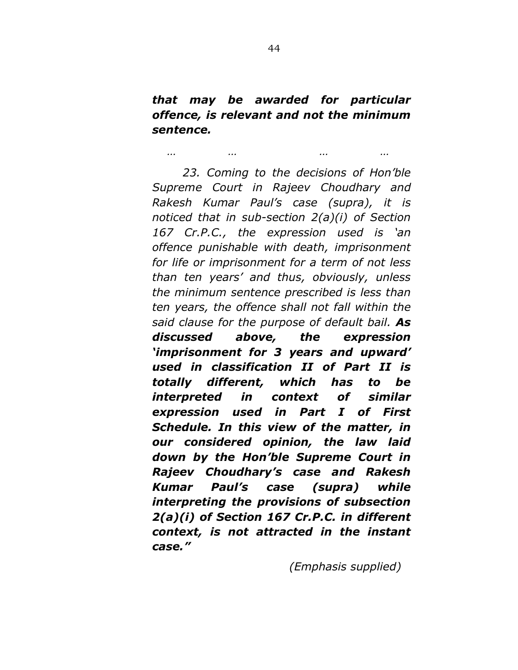*that may be awarded for particular offence, is relevant and not the minimum sentence.* 

*… … … …* 

*23. Coming to the decisions of Hon'ble Supreme Court in Rajeev Choudhary and Rakesh Kumar Paul's case (supra), it is noticed that in sub-section 2(a)(i) of Section 167 Cr.P.C., the expression used is 'an offence punishable with death, imprisonment for life or imprisonment for a term of not less than ten years' and thus, obviously, unless the minimum sentence prescribed is less than ten years, the offence shall not fall within the said clause for the purpose of default bail. As discussed above, the expression 'imprisonment for 3 years and upward' used in classification II of Part II is totally different, which has to be interpreted in context of similar expression used in Part I of First Schedule. In this view of the matter, in our considered opinion, the law laid down by the Hon'ble Supreme Court in Rajeev Choudhary's case and Rakesh Kumar Paul's case (supra) while interpreting the provisions of subsection 2(a)(i) of Section 167 Cr.P.C. in different context, is not attracted in the instant case."* 

 *(Emphasis supplied)*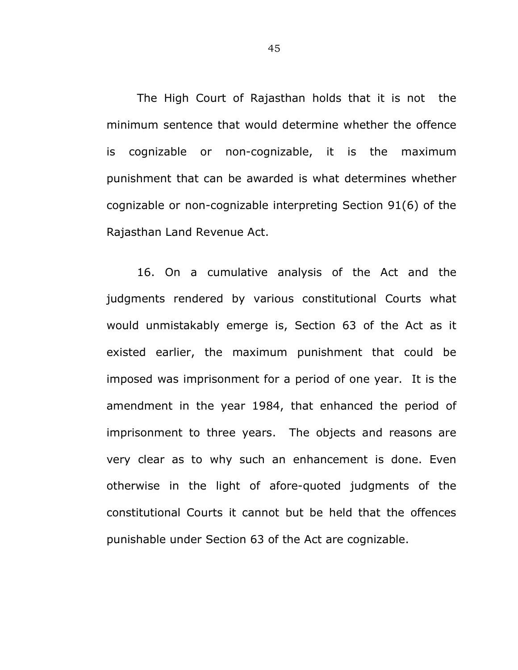The High Court of Rajasthan holds that it is not the minimum sentence that would determine whether the offence is cognizable or non-cognizable, it is the maximum punishment that can be awarded is what determines whether cognizable or non-cognizable interpreting Section 91(6) of the Rajasthan Land Revenue Act.

 16. On a cumulative analysis of the Act and the judgments rendered by various constitutional Courts what would unmistakably emerge is, Section 63 of the Act as it existed earlier, the maximum punishment that could be imposed was imprisonment for a period of one year. It is the amendment in the year 1984, that enhanced the period of imprisonment to three years. The objects and reasons are very clear as to why such an enhancement is done. Even otherwise in the light of afore-quoted judgments of the constitutional Courts it cannot but be held that the offences punishable under Section 63 of the Act are cognizable.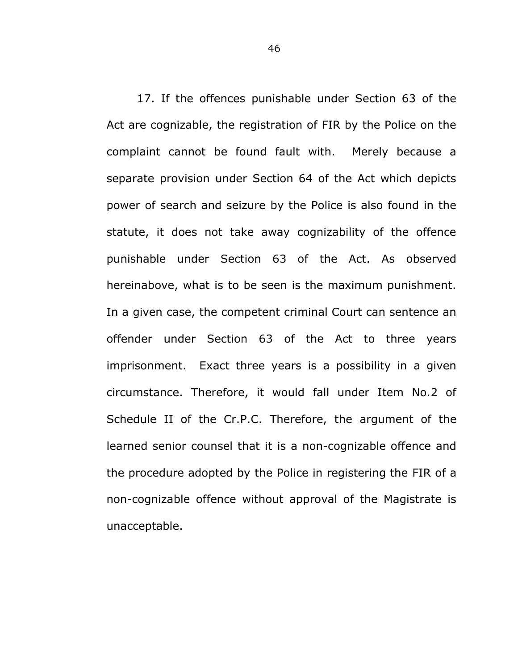17. If the offences punishable under Section 63 of the Act are cognizable, the registration of FIR by the Police on the complaint cannot be found fault with. Merely because a separate provision under Section 64 of the Act which depicts power of search and seizure by the Police is also found in the statute, it does not take away cognizability of the offence punishable under Section 63 of the Act. As observed hereinabove, what is to be seen is the maximum punishment. In a given case, the competent criminal Court can sentence an offender under Section 63 of the Act to three years imprisonment. Exact three years is a possibility in a given circumstance. Therefore, it would fall under Item No.2 of Schedule II of the Cr.P.C. Therefore, the argument of the learned senior counsel that it is a non-cognizable offence and the procedure adopted by the Police in registering the FIR of a non-cognizable offence without approval of the Magistrate is unacceptable.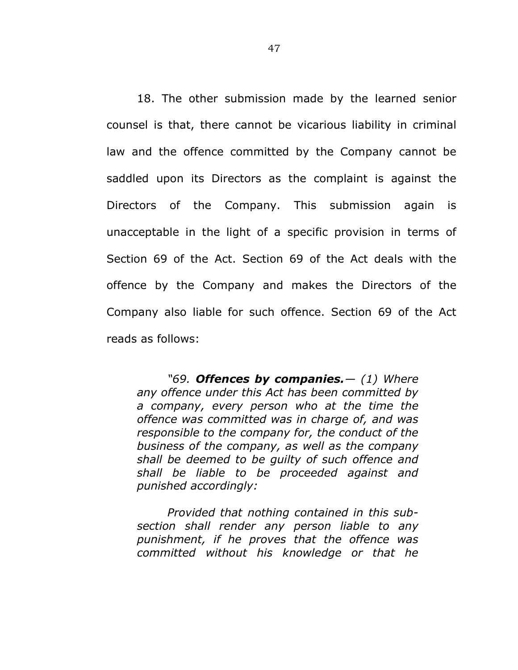18. The other submission made by the learned senior counsel is that, there cannot be vicarious liability in criminal law and the offence committed by the Company cannot be saddled upon its Directors as the complaint is against the Directors of the Company. This submission again is unacceptable in the light of a specific provision in terms of Section 69 of the Act. Section 69 of the Act deals with the offence by the Company and makes the Directors of the Company also liable for such offence. Section 69 of the Act reads as follows:

*"69. Offences by companies.— (1) Where any offence under this Act has been committed by a company, every person who at the time the offence was committed was in charge of, and was responsible to the company for, the conduct of the business of the company, as well as the company shall be deemed to be guilty of such offence and shall be liable to be proceeded against and punished accordingly:* 

*Provided that nothing contained in this subsection shall render any person liable to any punishment, if he proves that the offence was committed without his knowledge or that he*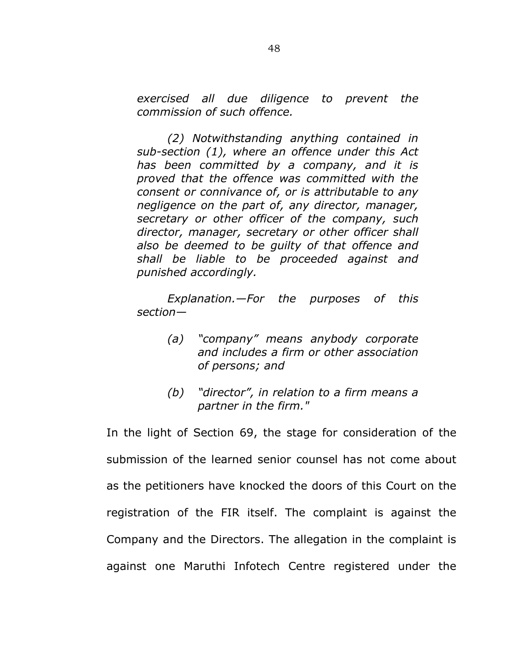*exercised all due diligence to prevent the commission of such offence.* 

*(2) Notwithstanding anything contained in sub-section (1), where an offence under this Act has been committed by a company, and it is proved that the offence was committed with the consent or connivance of, or is attributable to any negligence on the part of, any director, manager, secretary or other officer of the company, such director, manager, secretary or other officer shall also be deemed to be guilty of that offence and shall be liable to be proceeded against and punished accordingly.* 

*Explanation.—For the purposes of this section—* 

- *(a) "company" means anybody corporate and includes a firm or other association of persons; and*
- *(b) "director", in relation to a firm means a partner in the firm."*

In the light of Section 69, the stage for consideration of the submission of the learned senior counsel has not come about as the petitioners have knocked the doors of this Court on the registration of the FIR itself. The complaint is against the Company and the Directors. The allegation in the complaint is against one Maruthi Infotech Centre registered under the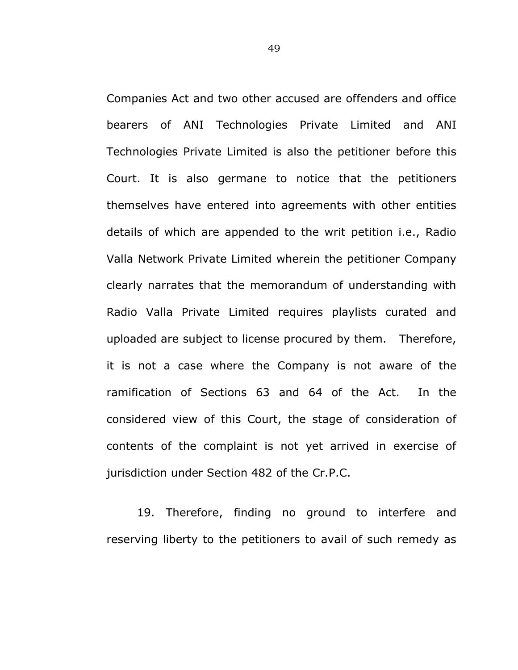Companies Act and two other accused are offenders and office bearers of ANI Technologies Private Limited and ANI Technologies Private Limited is also the petitioner before this Court. It is also germane to notice that the petitioners themselves have entered into agreements with other entities details of which are appended to the writ petition i.e., Radio Valla Network Private Limited wherein the petitioner Company clearly narrates that the memorandum of understanding with Radio Valla Private Limited requires playlists curated and uploaded are subject to license procured by them. Therefore, it is not a case where the Company is not aware of the ramification of Sections 63 and 64 of the Act. In the considered view of this Court, the stage of consideration of contents of the complaint is not yet arrived in exercise of jurisdiction under Section 482 of the Cr.P.C.

19. Therefore, finding no ground to interfere and reserving liberty to the petitioners to avail of such remedy as